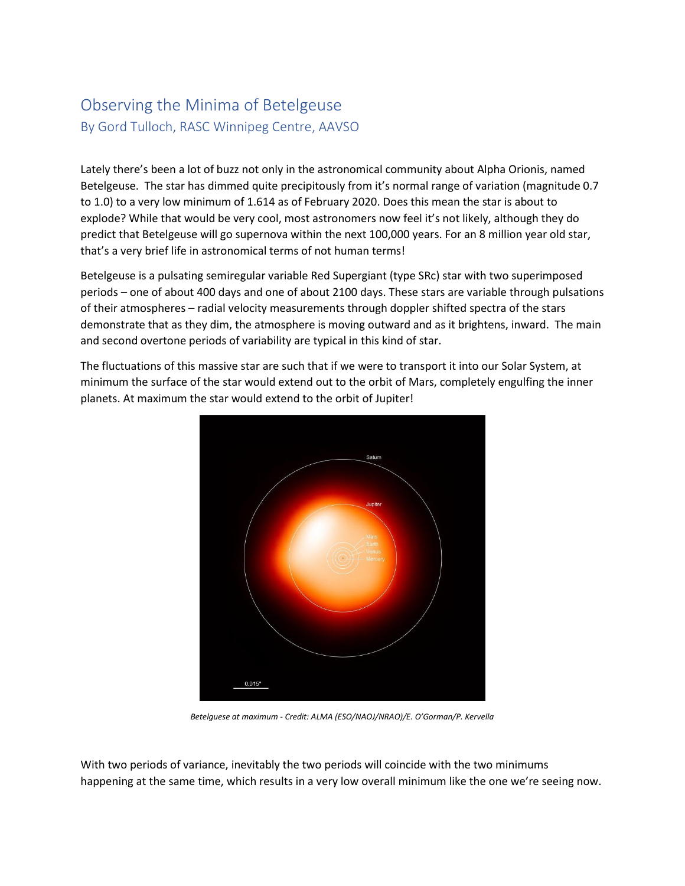## Observing the Minima of Betelgeuse By Gord Tulloch, RASC Winnipeg Centre, AAVSO

Lately there's been a lot of buzz not only in the astronomical community about Alpha Orionis, named Betelgeuse. The star has dimmed quite precipitously from it's normal range of variation (magnitude 0.7 to 1.0) to a very low minimum of 1.614 as of February 2020. Does this mean the star is about to explode? While that would be very cool, most astronomers now feel it's not likely, although they do predict that Betelgeuse will go supernova within the next 100,000 years. For an 8 million year old star, that's a very brief life in astronomical terms of not human terms!

Betelgeuse is a pulsating semiregular variable Red Supergiant (type SRc) star with two superimposed periods – one of about 400 days and one of about 2100 days. These stars are variable through pulsations of their atmospheres – radial velocity measurements through doppler shifted spectra of the stars demonstrate that as they dim, the atmosphere is moving outward and as it brightens, inward. The main and second overtone periods of variability are typical in this kind of star.

The fluctuations of this massive star are such that if we were to transport it into our Solar System, at minimum the surface of the star would extend out to the orbit of Mars, completely engulfing the inner planets. At maximum the star would extend to the orbit of Jupiter!



*Betelguese at maximum - Credit: ALMA (ESO/NAOJ/NRAO)/E. O'Gorman/P. Kervella*

With two periods of variance, inevitably the two periods will coincide with the two minimums happening at the same time, which results in a very low overall minimum like the one we're seeing now.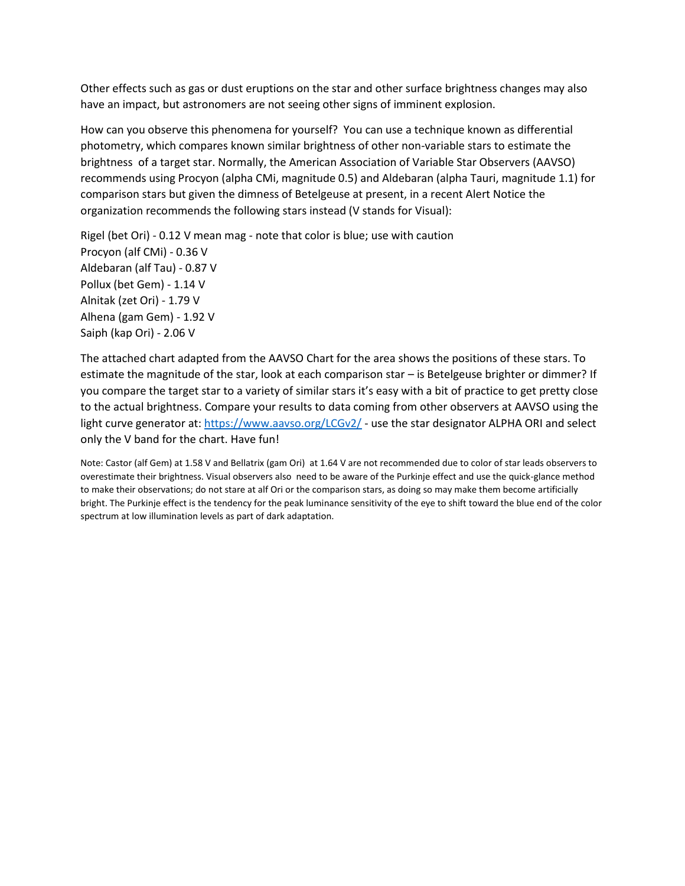Other effects such as gas or dust eruptions on the star and other surface brightness changes may also have an impact, but astronomers are not seeing other signs of imminent explosion.

How can you observe this phenomena for yourself? You can use a technique known as differential photometry, which compares known similar brightness of other non-variable stars to estimate the brightness of a target star. Normally, the American Association of Variable Star Observers (AAVSO) recommends using Procyon (alpha CMi, magnitude 0.5) and Aldebaran (alpha Tauri, magnitude 1.1) for comparison stars but given the dimness of Betelgeuse at present, in a recent Alert Notice the organization recommends the following stars instead (V stands for Visual):

Rigel (bet Ori) - 0.12 V mean mag - note that color is blue; use with caution Procyon (alf CMi) - 0.36 V Aldebaran (alf Tau) - 0.87 V Pollux (bet Gem) - 1.14 V Alnitak (zet Ori) - 1.79 V Alhena (gam Gem) - 1.92 V Saiph (kap Ori) - 2.06 V

The attached chart adapted from the AAVSO Chart for the area shows the positions of these stars. To estimate the magnitude of the star, look at each comparison star – is Betelgeuse brighter or dimmer? If you compare the target star to a variety of similar stars it's easy with a bit of practice to get pretty close to the actual brightness. Compare your results to data coming from other observers at AAVSO using the light curve generator at[: https://www.aavso.org/LCGv2/](https://www.aavso.org/LCGv2/) - use the star designator ALPHA ORI and select only the V band for the chart. Have fun!

Note: Castor (alf Gem) at 1.58 V and Bellatrix (gam Ori) at 1.64 V are not recommended due to color of star leads observers to overestimate their brightness. Visual observers also need to be aware of the Purkinje effect and use the quick-glance method to make their observations; do not stare at alf Ori or the comparison stars, as doing so may make them become artificially bright. The Purkinje effect is the tendency for the peak luminance sensitivity of the eye to shift toward the blue end of the color spectrum at low illumination levels as part of dark adaptation.